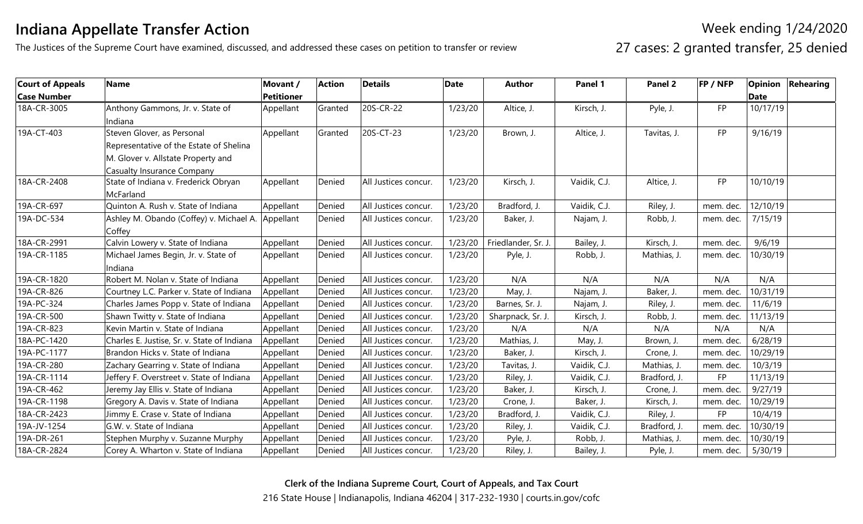## **Indiana Appellate Transfer Action**

The Justices of the Supreme Court have examined, discussed, and addressed these cases on petition to transfer or review

Week ending 1/24/2020 27 cases: 2 granted transfer, 25 denied

| <b>Court of Appeals</b> | <b>Name</b>                                 | Movant /          | <b>Action</b> | <b>Details</b>       | <b>Date</b> | <b>Author</b>       | Panel 1      | Panel 2      | FP / NFP  |             | <b>Opinion Rehearing</b> |
|-------------------------|---------------------------------------------|-------------------|---------------|----------------------|-------------|---------------------|--------------|--------------|-----------|-------------|--------------------------|
| <b>Case Number</b>      |                                             | <b>Petitioner</b> |               |                      |             |                     |              |              |           | <b>Date</b> |                          |
| 18A-CR-3005             | Anthony Gammons, Jr. v. State of            | Appellant         | Granted       | 20S-CR-22            | 1/23/20     | Altice, J.          | Kirsch, J.   | Pyle, J.     | <b>FP</b> | 10/17/19    |                          |
|                         | Indiana                                     |                   |               |                      |             |                     |              |              |           |             |                          |
| 19A-CT-403              | Steven Glover, as Personal                  | Appellant         | Granted       | 20S-CT-23            | 1/23/20     | Brown, J.           | Altice, J.   | Tavitas, J.  | <b>FP</b> | 9/16/19     |                          |
|                         | Representative of the Estate of Shelina     |                   |               |                      |             |                     |              |              |           |             |                          |
|                         | M. Glover v. Allstate Property and          |                   |               |                      |             |                     |              |              |           |             |                          |
|                         | <b>Casualty Insurance Company</b>           |                   |               |                      |             |                     |              |              |           |             |                          |
| 18A-CR-2408             | State of Indiana v. Frederick Obryan        | Appellant         | Denied        | All Justices concur. | 1/23/20     | Kirsch, J.          | Vaidik, C.J. | Altice, J.   | <b>FP</b> | 10/10/19    |                          |
|                         | McFarland                                   |                   |               |                      |             |                     |              |              |           |             |                          |
| 19A-CR-697              | Quinton A. Rush v. State of Indiana         | Appellant         | Denied        | All Justices concur. | 1/23/20     | Bradford, J.        | Vaidik, C.J. | Riley, J.    | mem. dec. | 12/10/19    |                          |
| 19A-DC-534              | Ashley M. Obando (Coffey) v. Michael A.     | Appellant         | Denied        | All Justices concur. | 1/23/20     | Baker, J.           | Najam, J.    | Robb, J.     | mem. dec. | 7/15/19     |                          |
|                         | Coffey                                      |                   |               |                      |             |                     |              |              |           |             |                          |
| 18A-CR-2991             | Calvin Lowery v. State of Indiana           | Appellant         | Denied        | All Justices concur. | 1/23/20     | Friedlander, Sr. J. | Bailey, J.   | Kirsch, J.   | mem. dec. | 9/6/19      |                          |
| 19A-CR-1185             | Michael James Begin, Jr. v. State of        | Appellant         | Denied        | All Justices concur. | 1/23/20     | Pyle, J.            | Robb, J.     | Mathias, J.  | mem. dec. | 10/30/19    |                          |
|                         | Indiana                                     |                   |               |                      |             |                     |              |              |           |             |                          |
| 19A-CR-1820             | Robert M. Nolan v. State of Indiana         | Appellant         | Denied        | All Justices concur. | 1/23/20     | N/A                 | N/A          | N/A          | N/A       | N/A         |                          |
| 19A-CR-826              | Courtney L.C. Parker v. State of Indiana    | Appellant         | Denied        | All Justices concur. | 1/23/20     | May, J.             | Najam, J.    | Baker, J.    | mem. dec. | 10/31/19    |                          |
| 19A-PC-324              | Charles James Popp v. State of Indiana      | Appellant         | Denied        | All Justices concur. | 1/23/20     | Barnes, Sr. J.      | Najam, J.    | Riley, J.    | mem. dec. | 11/6/19     |                          |
| 19A-CR-500              | Shawn Twitty v. State of Indiana            | Appellant         | Denied        | All Justices concur. | 1/23/20     | Sharpnack, Sr. J.   | Kirsch, J.   | Robb, J.     | mem. dec. | 11/13/19    |                          |
| 19A-CR-823              | Kevin Martin v. State of Indiana            | Appellant         | Denied        | All Justices concur. | 1/23/20     | N/A                 | N/A          | N/A          | N/A       | N/A         |                          |
| 18A-PC-1420             | Charles E. Justise, Sr. v. State of Indiana | Appellant         | Denied        | All Justices concur. | 1/23/20     | Mathias, J.         | May, J.      | Brown, J.    | mem. dec. | 6/28/19     |                          |
| 19A-PC-1177             | Brandon Hicks v. State of Indiana           | Appellant         | Denied        | All Justices concur. | 1/23/20     | Baker, J.           | Kirsch, J.   | Crone, J.    | mem. dec. | 10/29/19    |                          |
| 19A-CR-280              | Zachary Gearring v. State of Indiana        | Appellant         | Denied        | All Justices concur. | 1/23/20     | Tavitas, J.         | Vaidik, C.J. | Mathias, J.  | mem. dec. | 10/3/19     |                          |
| 19A-CR-1114             | Jeffery F. Overstreet v. State of Indiana   | Appellant         | Denied        | All Justices concur. | 1/23/20     | Riley, J.           | Vaidik, C.J. | Bradford, J. | FP        | 11/13/19    |                          |
| 19A-CR-462              | Jeremy Jay Ellis v. State of Indiana        | Appellant         | Denied        | All Justices concur. | 1/23/20     | Baker, J.           | Kirsch, J.   | Crone, J.    | mem. dec. | 9/27/19     |                          |
| 19A-CR-1198             | Gregory A. Davis v. State of Indiana        | Appellant         | Denied        | All Justices concur. | 1/23/20     | Crone, J.           | Baker, J.    | Kirsch, J.   | mem. dec. | 10/29/19    |                          |
| 18A-CR-2423             | Jimmy E. Crase v. State of Indiana          | Appellant         | Denied        | All Justices concur. | 1/23/20     | Bradford, J.        | Vaidik, C.J. | Riley, J.    | FP        | 10/4/19     |                          |
| 19A-JV-1254             | G.W. v. State of Indiana                    | Appellant         | Denied        | All Justices concur. | 1/23/20     | Riley, J.           | Vaidik, C.J. | Bradford, J. | mem. dec. | 10/30/19    |                          |
| 19A-DR-261              | Stephen Murphy v. Suzanne Murphy            | Appellant         | Denied        | All Justices concur. | 1/23/20     | Pyle, J.            | Robb, J.     | Mathias, J.  | mem. dec. | 10/30/19    |                          |
| 18A-CR-2824             | Corey A. Wharton v. State of Indiana        | Appellant         | Denied        | All Justices concur. | 1/23/20     | Riley, J.           | Bailey, J.   | Pyle, J.     | mem. dec. | 5/30/19     |                          |